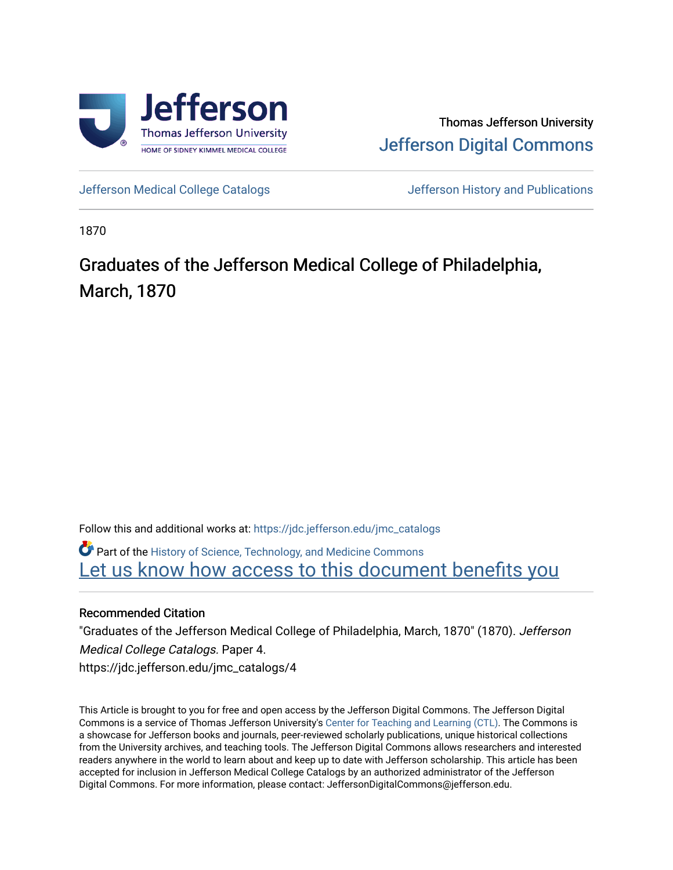

Thomas Jefferson University [Jefferson Digital Commons](https://jdc.jefferson.edu/) 

[Jefferson Medical College Catalogs](https://jdc.jefferson.edu/jmc_catalogs) [Jefferson History and Publications](https://jdc.jefferson.edu/jeffersonhistory) 

1870

# Graduates of the Jefferson Medical College of Philadelphia, March, 1870

Follow this and additional works at: [https://jdc.jefferson.edu/jmc\\_catalogs](https://jdc.jefferson.edu/jmc_catalogs?utm_source=jdc.jefferson.edu%2Fjmc_catalogs%2F4&utm_medium=PDF&utm_campaign=PDFCoverPages) 

Part of the [History of Science, Technology, and Medicine Commons](http://network.bepress.com/hgg/discipline/500?utm_source=jdc.jefferson.edu%2Fjmc_catalogs%2F4&utm_medium=PDF&utm_campaign=PDFCoverPages)  Let us know how access to this document benefits you

### Recommended Citation

"Graduates of the Jefferson Medical College of Philadelphia, March, 1870" (1870). Jefferson Medical College Catalogs. Paper 4. https://jdc.jefferson.edu/jmc\_catalogs/4

This Article is brought to you for free and open access by the Jefferson Digital Commons. The Jefferson Digital Commons is a service of Thomas Jefferson University's [Center for Teaching and Learning \(CTL\)](http://www.jefferson.edu/university/teaching-learning.html/). The Commons is a showcase for Jefferson books and journals, peer-reviewed scholarly publications, unique historical collections from the University archives, and teaching tools. The Jefferson Digital Commons allows researchers and interested readers anywhere in the world to learn about and keep up to date with Jefferson scholarship. This article has been accepted for inclusion in Jefferson Medical College Catalogs by an authorized administrator of the Jefferson Digital Commons. For more information, please contact: JeffersonDigitalCommons@jefferson.edu.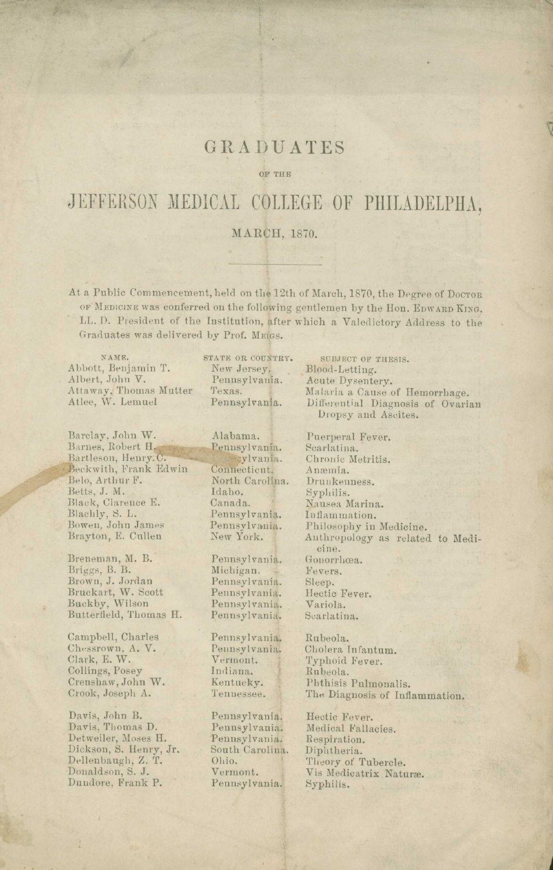### GRADUATES

#### OF THE

## JEFFERSON MEDICAL COLLEGE OF PHILADELPHA,

#### MARCH, 1870.

At a Public Commencement, held on the 12th of March, 1870, the Degree of Docron OF MEDICINE was conferred on the following gentlemen by the Hon. EDWARD KING, LL. D. President of the Institution, after which a Valedictory Address to the Graduates was delivered by Prof. MEIGS.

NAME. Abbott, Benjamin T. Albert, John V. Attaway, Thomas Mutter Atlee, W. Lemuel

Barclay, John W.<br>Barnes, Robert H<mark>.</mark> Bartleson, Henry. C. Beckwith, Frank Edwin Belo, Arthur F. Betts, J. M. Black, Clarence E. Blachly, S. L. Bowen, John James Brayton, E. Cullen

Breneman, M. B. Briggs, B. B. Brown, J. Jordan Bruckart, W. Scott Buckby, Wilson Butterfield, Thomas H.

Campbell, Charles Chessrown, A. V. Clark, E. W. Collings, Posey Crenshaw, John W. Crook, Joseph A.

Davis, John B. Davis, Thomas D. Detweiler, Moses H. Dickson, S. Henry, Jr. Dellenbaugh, Z. T. Donaldson, S. J. Dundore, Frank P.

STATE OR COUNTRY. New Jersey. Pennsylvania. Texas. Pennsylvania.

Alabama. Pennsylvania. ylvania. Connecticut. North Carolina. Idaho. Canada. Pennsylvania. Pennsylvania. New York.

Pennsylvania.<br>Michigan. Pennsylvania. Pennsylvania. Pennsylvania. Pennsylvania.

Pennsylvania Pennsylvania. Vermont. Indiana. Kentucky. Tennessee.

Pennsylvania. Pennsylvania. Pennsylvania. South Carolina. Ohio. Vermont. Pennsylvania;

SUBJECT OF THESIS. Blood-Letting. Acute Dysentery. Malaria a Cause of Hemorrhage. Differential Diagnosis of Ovarian Dropsy and Ascites.

Puerperal Fever. Scarlatina. Chronic Metritis. Anemia. Drunkenness. Syphilis. Nausea Marina. Inflammation. Philosophy in Medicine. Anthropology as related to Medicine. Gonorrhoea. Fevers. Sleep. Hectic Fever. Variola. Scarlatina.

Rubeola. Cholera Infantum. Typhoid Fever. Rubeola. Phthisis Pulmonalis. The Diagnosis of Inflammation.

Hectic Fever. Medical Fallacies. Respiration. Diphtheria. Theory of Tubercle. Vis Medicatrix Nature. Syphilis.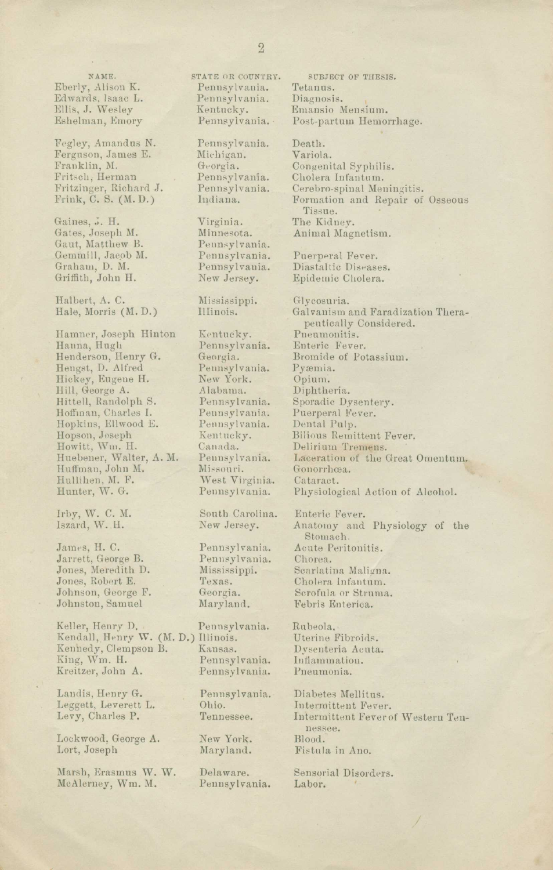NAME. Eberly, Alison K. Edwards. Isaac L. Ellis, J. Wesley Eshelman, Emory

Fegley, Amandus N. Ferguson, James E. Franklin, M. Fritsch, Herman Fritzinger, Richard J. Frink, C. S. (M.D.)

Gaines, J. H. Gates, Joseph M. Gaut, Matthew B. Gemmill, Jacob M. Graham, D. M. Griffith, John H.

Halbert, A. C. Hale, Morris (M.D.)

Hamner, Joseph Hinton Hanna, Hugh Henderson, Henry G. Hengst, D. Alfred Hickey, Eugene H. Hill, George A. Hittell, Randolph S. Hoffman, Charles I. Hopkins, Ellwood E. Hopson, Joseph Howitt, Ww. H. Huebener, Walter, A. M. Huffman, John M. Hullihen. M. F. Hunter, W. G.

Irby, W. C. M. Iszard, W. II.

James, H. C. Jarrett, George B. Jones, Meredith D. Jones, Robert E. Johnson, George F. Johnston, Samuel

Keller, Henry D. Kendall, Henry W. (M. D.) Illinois. Keuhedy, Clempson B. King, Wm. H. Kreitzer, John A.

Landis, Henry G. Leggett, Leverett L. Levy, Charles P.

Lockwood, George A. Lort, Joseph

Marsh, Erasmus W. W. McAlerney, Wm. M.

STATE OR COUNTRY. Pennsylvania. Pennsylvania. Kentucky. Pennsylvania. •

Pennsylvania. Michigan. Georgia. Pennsylvania. Pennsylvania. Indiana.

Virginia. Minnesota. Pennsylvania. Pennsylvania. Pennsylvania. New Jersey.

Mississippi. Illinois.

Kentucky. Pennsylvania. Georgia. Pennsylvania. New York. Alabama. Pennsylvania. Pennsylvania. Pennsylvania. Kent ucky. Canada. Pennsylvania. Missouri. West Virginia. Pennsylvania.

South Carolina. New Jersey.

Pennsylvania. Pennsylvania. Mississippi. Texas. Georgia. Maryland.

Pennsylvania. Kansas. Pennsylvania. Pennsylvania.

Pennsylvania. Ohio. Tennessee.

New York. Maryland.

Delaware. Pennsylvania.

SUBJECT OF THESIS. Tetanus. Diagnosis. Emansio Mensium. Post-partum Hemorrhage.

Death. Variola. Congenital Syphilis. Cholera Infantum. Cerebro-spinal Meningitis. Formation and Repair of Osseous Tissue. The Kidney. Animal Magnetism.

Puerperal Fever. Diastaltic Diseases. Epidemic Cholera.

Glycosuria. Galvanism and Faradization Therapentically Considered. Pneumonitis. Enteric Fever. Bromide of Potassium. Pyæmia. Opium. Diphtheria. Sporadic Dysentery. Puerperal Fever. Dental Pulp. Bilious Remittent Fever. Delirium Tremens. Laceration of the Great Omentum. Gonorrhæa. Cataract. Physiological Action of Alcohol.

Enteric Fever. Anatomy and Physiology of the Stomach. Acute Peritonitis. Chorea. Scarlatina Malisna. Cholera Infantum. Scrofula or Struma. Febris Enterica.

Ruheola. Uterine Fibroids. Dysenteria Acnta. Inflammation. Pneumonia.

Diabetes Mellitus. Intermittent Fever. Intermittent Feverof Western Tennessee. Blood. Fistula in Ano.

Sensorial Disorders. Labor.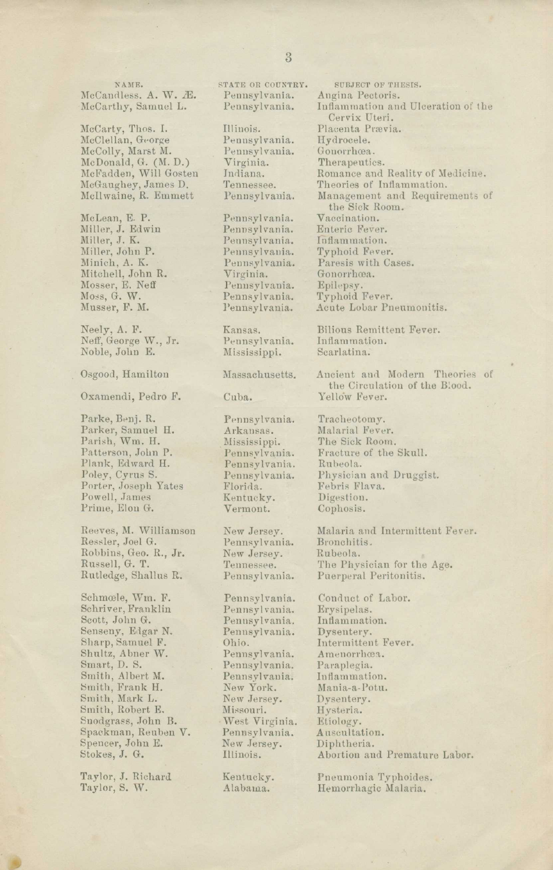NAME. McCandless. A. W. Æ. McCarthy, Samuel L.

McCarty, Thos. I. McClellan, George McColly, Marst M. McDonald, G. (M. D.) McFadden, Will Gosten McGaughey, James D. Moil waine, R. Emmett

McLean, E. P. Miller, J. Edwin Miller, J. K. Miller, John P. Minich, A. K. Mitchell, John R. Mosser, E. Neff Moss, G. W. Musser, F. M.

Neely, A. F. Neff, George W., Jr. Noble, John E.

Osgood, Hamilton

Oxamendi, Pedro F.

Parke, Benj. R. Parker, Samuel H. Parish, Wm. H. Patterson, John P. Plank, Edward H. Poley, Cyrus S. Porter, Joseph Yates Powell, James Prime, Elou G.

Reeves, M. Williamson Ressler, Joel G. Robbins, Geo. R., Jr. Russell, G. T. Rutledge, Shallus R.

Schmcele, Wm. F. Schriver, Franklin Scott, John G. Senseny, Edgar N. Sharp, Samuel F. Shultz, Abner W. Smart, D. S. Smith, Albert M. Smith, Frank H. Smith, Mark L. Smith, Robert E. Snodgrass, John B. Spackman, Reuben V. Spencer, John E. Stokes, J. G.

Taylor, J. Richard Taylor, S. W.

Pennsylvania. Hydrocele.<br>Pennsylvania. Gonorrhœa. Pennsylvania.<br>Virginia. Virginia. Therapeutics.<br>Indiana. Romance and

Pennsylvania.<br>Pennsylvania. Pennsylvania. Inflammation.<br>Pennsylvania. Typhoid-Fever Pennsylvania.<br>Pennsylvania.

Pennsylvania. Inflammati<br>Mississippi. Scarlatina. Mississippi.

Pennsylvania. Arkansas. Mississippi. Pennsylvania. Pennsylvania. Pennsylvania. Florida. Kentucky. Vermont.

New Jersey. Pennsylvania. New Jersey. Tennessee. Pennsylvania.

Pennsylvania. Pennsylvania. Pennsylvania. Pennsylvania. Ohio. Pennsylvania. Pennsylvania. Pennsylvania. New York. New Jersey. Missouri. • West Virginia. Pennsylvania. New .Jersey. Illinois.

Kentucky. Alabama.

STATE OR COUNTRY. SUBJECT OF THESIS.<br>Pennsylvania. Augina Pectoris. Pennsylvania. Angina Pectoris. Inflammation and Ulceration of the Cervix Uteri. Illinois. Placenta Prævia.<br>Pennsylvania. Hydrocele. Indiana. Romance and Reality of Medicine.<br>Tennessee. Theories of Inflammation. Tennessee. Theories of Inflammation.<br>Pennsylvania. Management and Require Management and Requirements of the Sick Room.<br>Vaccination. Pennsylvania. Vaccination.<br>Pennsylvania. Enteric Fever. Pennsylvania. Typhoid Fever.<br>Pennsylvania. Paresis with Ca Pennsylvania. Paresis with Cases.<br>Virginia. Gonorrhœa. Gonorrhoea. Pennsylvania. Typhoid Fever. Acute Lobar Pneumonitis.

Kansas. Bilious Remittent Fever.<br>Pennsylvania. Inflammation.

Massachusetts. Ancient and Modern Theories of the Circulation of the Blood. Cuba. Yellow Fever.

> Tracheotomy. Malarial Fever. The Sick Room. Fracture of the Skull. Rubeola. Physician and Druggist. Febris Flava. Digestion. Cophosis.

Malaria and Intermittent Fever. Bronchitis. Rubeola. The Physician for the Age. Puerperal Peritonitis.

Conduct of Labor. Erysipelas. Inflammation. Dysentery. Intermittent Fever. Amenorrhoea. Paraplegia. Inflammation. Mania-a-Potu. Dysentery. Hysteria. Etiology. Auscultation. Diphtheria. Abortion and Premature Labor.

Pneumonia Typhoides. Hemorrhagic Malaria.